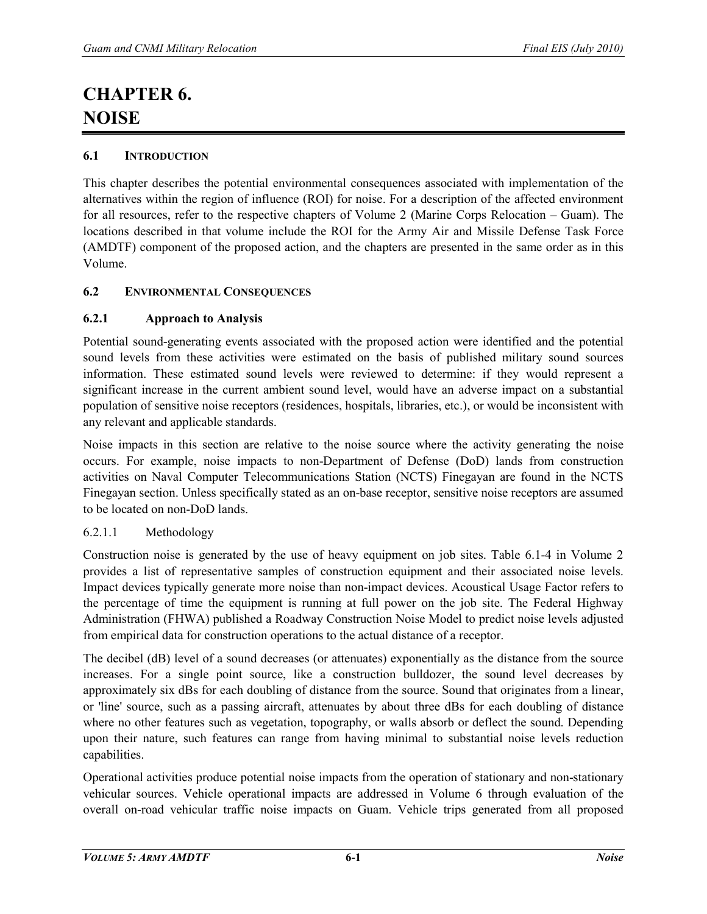# **CHAPTER 6. NOISE**

## **6.1 INTRODUCTION**

This chapter describes the potential environmental consequences associated with implementation of the alternatives within the region of influence (ROI) for noise. For a description of the affected environment for all resources, refer to the respective chapters of Volume 2 (Marine Corps Relocation – Guam). The locations described in that volume include the ROI for the Army Air and Missile Defense Task Force (AMDTF) component of the proposed action, and the chapters are presented in the same order as in this Volume.

## **6.2 ENVIRONMENTAL CONSEQUENCES**

## **6.2.1 Approach to Analysis**

Potential sound-generating events associated with the proposed action were identified and the potential sound levels from these activities were estimated on the basis of published military sound sources information. These estimated sound levels were reviewed to determine: if they would represent a significant increase in the current ambient sound level, would have an adverse impact on a substantial population of sensitive noise receptors (residences, hospitals, libraries, etc.), or would be inconsistent with any relevant and applicable standards.

Noise impacts in this section are relative to the noise source where the activity generating the noise occurs. For example, noise impacts to non-Department of Defense (DoD) lands from construction activities on Naval Computer Telecommunications Station (NCTS) Finegayan are found in the NCTS Finegayan section. Unless specifically stated as an on-base receptor, sensitive noise receptors are assumed to be located on non-DoD lands.

## 6.2.1.1 Methodology

Construction noise is generated by the use of heavy equipment on job sites. Table 6.1-4 in Volume 2 provides a list of representative samples of construction equipment and their associated noise levels. Impact devices typically generate more noise than non-impact devices. Acoustical Usage Factor refers to the percentage of time the equipment is running at full power on the job site. The Federal Highway Administration (FHWA) published a Roadway Construction Noise Model to predict noise levels adjusted from empirical data for construction operations to the actual distance of a receptor.

The decibel (dB) level of a sound decreases (or attenuates) exponentially as the distance from the source increases. For a single point source, like a construction bulldozer, the sound level decreases by approximately six dBs for each doubling of distance from the source. Sound that originates from a linear, or 'line' source, such as a passing aircraft, attenuates by about three dBs for each doubling of distance where no other features such as vegetation, topography, or walls absorb or deflect the sound. Depending upon their nature, such features can range from having minimal to substantial noise levels reduction capabilities.

Operational activities produce potential noise impacts from the operation of stationary and non-stationary vehicular sources. Vehicle operational impacts are addressed in Volume 6 through evaluation of the overall on-road vehicular traffic noise impacts on Guam. Vehicle trips generated from all proposed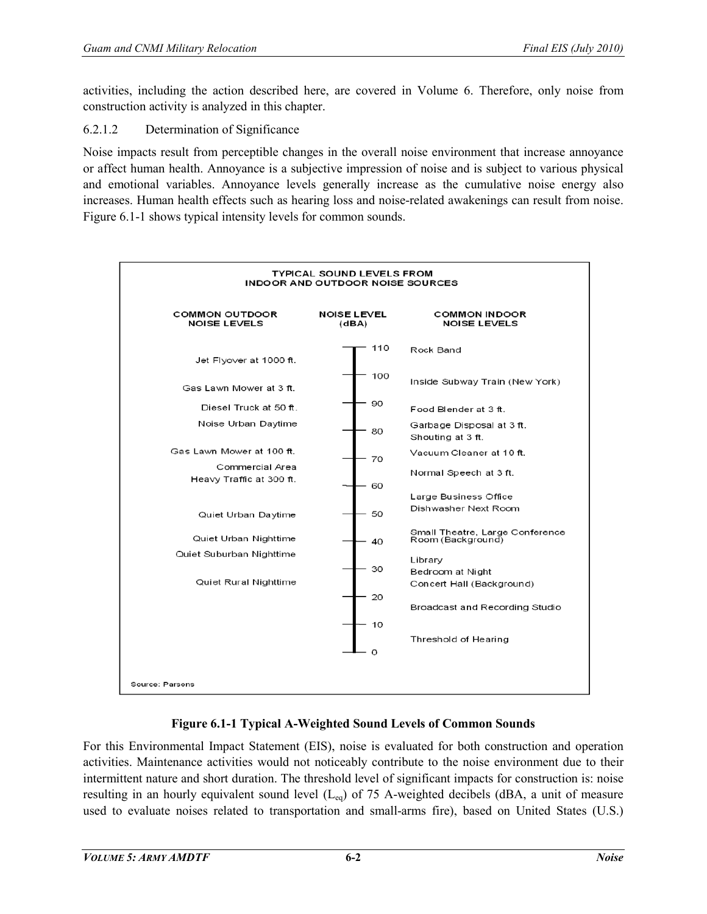activities, including the action described here, are covered in Volume 6. Therefore, only noise from construction activity is analyzed in this chapter.

## 6.2.1.2 Determination of Significance

Noise impacts result from perceptible changes in the overall noise environment that increase annoyance or affect human health. Annoyance is a subjective impression of noise and is subject to various physical and emotional variables. Annoyance levels generally increase as the cumulative noise energy also increases. Human health effects such as hearing loss and noise-related awakenings can result from noise. Figure 6.1-1 shows typical intensity levels for common sounds.



## **Figure 6.1-1 Typical A-Weighted Sound Levels of Common Sounds**

For this Environmental Impact Statement (EIS), noise is evaluated for both construction and operation activities. Maintenance activities would not noticeably contribute to the noise environment due to their intermittent nature and short duration. The threshold level of significant impacts for construction is: noise resulting in an hourly equivalent sound level  $(L_{eq})$  of 75 A-weighted decibels (dBA, a unit of measure used to evaluate noises related to transportation and small-arms fire), based on United States (U.S.)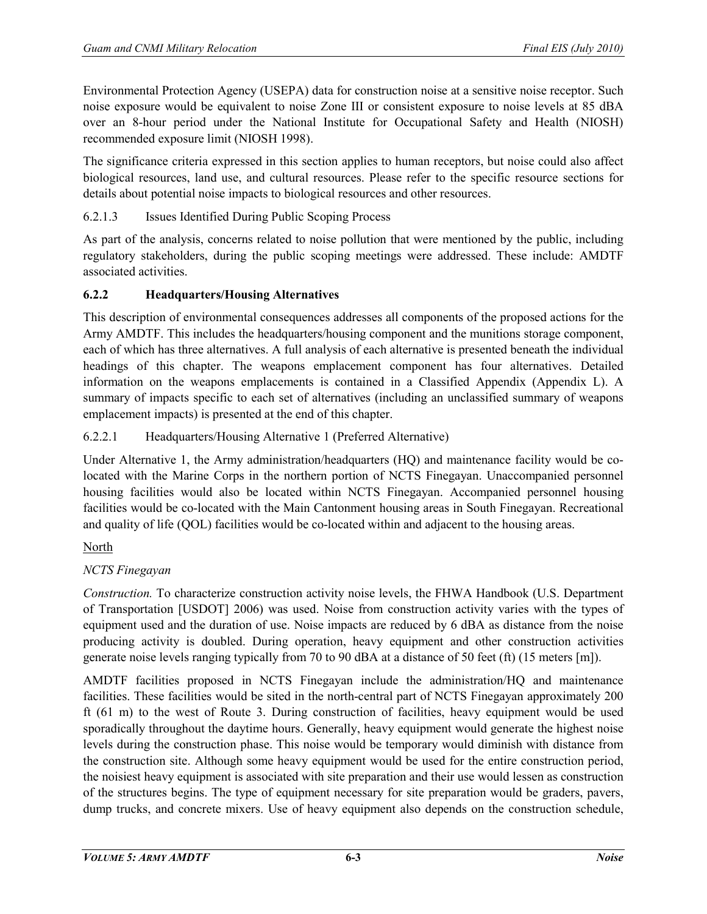Environmental Protection Agency (USEPA) data for construction noise at a sensitive noise receptor. Such noise exposure would be equivalent to noise Zone III or consistent exposure to noise levels at 85 dBA over an 8-hour period under the National Institute for Occupational Safety and Health (NIOSH) recommended exposure limit (NIOSH 1998).

The significance criteria expressed in this section applies to human receptors, but noise could also affect biological resources, land use, and cultural resources. Please refer to the specific resource sections for details about potential noise impacts to biological resources and other resources.

## 6.2.1.3 Issues Identified During Public Scoping Process

As part of the analysis, concerns related to noise pollution that were mentioned by the public, including regulatory stakeholders, during the public scoping meetings were addressed. These include: AMDTF associated activities.

## **6.2.2 Headquarters/Housing Alternatives**

This description of environmental consequences addresses all components of the proposed actions for the Army AMDTF. This includes the headquarters/housing component and the munitions storage component, each of which has three alternatives. A full analysis of each alternative is presented beneath the individual headings of this chapter. The weapons emplacement component has four alternatives. Detailed information on the weapons emplacements is contained in a Classified Appendix (Appendix L). A summary of impacts specific to each set of alternatives (including an unclassified summary of weapons emplacement impacts) is presented at the end of this chapter.

## 6.2.2.1 Headquarters/Housing Alternative 1 (Preferred Alternative)

Under Alternative 1, the Army administration/headquarters (HQ) and maintenance facility would be colocated with the Marine Corps in the northern portion of NCTS Finegayan. Unaccompanied personnel housing facilities would also be located within NCTS Finegayan. Accompanied personnel housing facilities would be co-located with the Main Cantonment housing areas in South Finegayan. Recreational and quality of life (QOL) facilities would be co-located within and adjacent to the housing areas.

#### North

## *NCTS Finegayan*

*Construction.* To characterize construction activity noise levels, the FHWA Handbook (U.S. Department of Transportation [USDOT] 2006) was used. Noise from construction activity varies with the types of equipment used and the duration of use. Noise impacts are reduced by 6 dBA as distance from the noise producing activity is doubled. During operation, heavy equipment and other construction activities generate noise levels ranging typically from 70 to 90 dBA at a distance of 50 feet (ft) (15 meters [m]).

AMDTF facilities proposed in NCTS Finegayan include the administration/HQ and maintenance facilities. These facilities would be sited in the north-central part of NCTS Finegayan approximately 200 ft (61 m) to the west of Route 3. During construction of facilities, heavy equipment would be used sporadically throughout the daytime hours. Generally, heavy equipment would generate the highest noise levels during the construction phase. This noise would be temporary would diminish with distance from the construction site. Although some heavy equipment would be used for the entire construction period, the noisiest heavy equipment is associated with site preparation and their use would lessen as construction of the structures begins. The type of equipment necessary for site preparation would be graders, pavers, dump trucks, and concrete mixers. Use of heavy equipment also depends on the construction schedule,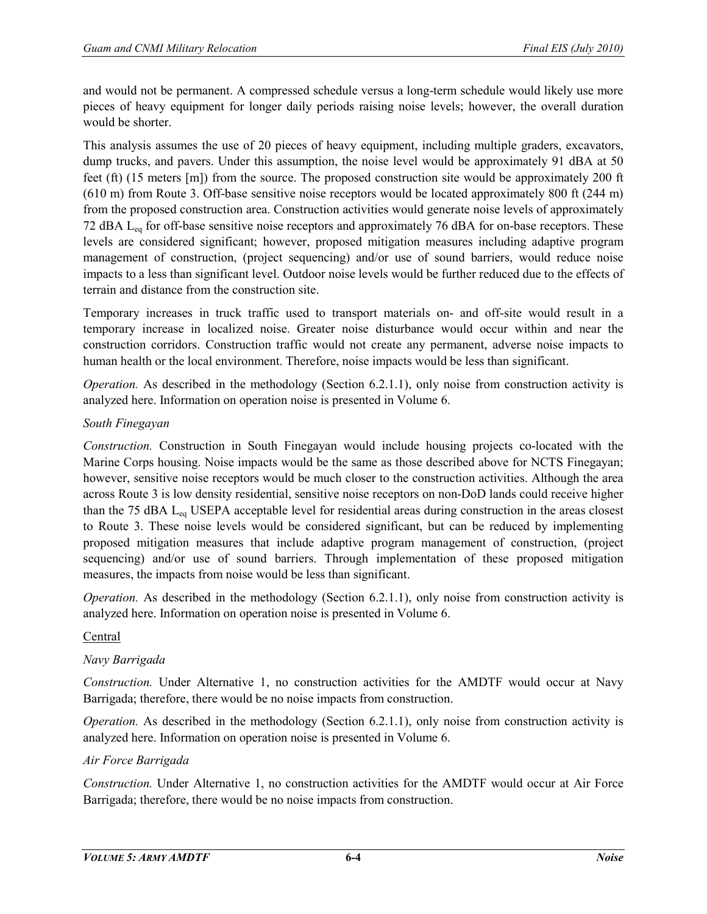and would not be permanent. A compressed schedule versus a long-term schedule would likely use more pieces of heavy equipment for longer daily periods raising noise levels; however, the overall duration would be shorter.

This analysis assumes the use of 20 pieces of heavy equipment, including multiple graders, excavators, dump trucks, and pavers. Under this assumption, the noise level would be approximately 91 dBA at 50 feet (ft) (15 meters [m]) from the source. The proposed construction site would be approximately 200 ft (610 m) from Route 3. Off-base sensitive noise receptors would be located approximately 800 ft (244 m) from the proposed construction area. Construction activities would generate noise levels of approximately 72 dBA Leq for off-base sensitive noise receptors and approximately 76 dBA for on-base receptors. These levels are considered significant; however, proposed mitigation measures including adaptive program management of construction, (project sequencing) and/or use of sound barriers, would reduce noise impacts to a less than significant level. Outdoor noise levels would be further reduced due to the effects of terrain and distance from the construction site.

Temporary increases in truck traffic used to transport materials on- and off-site would result in a temporary increase in localized noise. Greater noise disturbance would occur within and near the construction corridors. Construction traffic would not create any permanent, adverse noise impacts to human health or the local environment. Therefore, noise impacts would be less than significant.

*Operation.* As described in the methodology (Section 6.2.1.1), only noise from construction activity is analyzed here. Information on operation noise is presented in Volume 6.

## *South Finegayan*

*Construction.* Construction in South Finegayan would include housing projects co-located with the Marine Corps housing. Noise impacts would be the same as those described above for NCTS Finegayan; however, sensitive noise receptors would be much closer to the construction activities. Although the area across Route 3 is low density residential, sensitive noise receptors on non-DoD lands could receive higher than the 75 dBA Leq USEPA acceptable level for residential areas during construction in the areas closest to Route 3. These noise levels would be considered significant, but can be reduced by implementing proposed mitigation measures that include adaptive program management of construction, (project sequencing) and/or use of sound barriers. Through implementation of these proposed mitigation measures, the impacts from noise would be less than significant.

*Operation.* As described in the methodology (Section 6.2.1.1), only noise from construction activity is analyzed here. Information on operation noise is presented in Volume 6.

#### Central

## *Navy Barrigada*

*Construction.* Under Alternative 1, no construction activities for the AMDTF would occur at Navy Barrigada; therefore, there would be no noise impacts from construction.

*Operation.* As described in the methodology (Section 6.2.1.1), only noise from construction activity is analyzed here. Information on operation noise is presented in Volume 6.

#### *Air Force Barrigada*

*Construction.* Under Alternative 1, no construction activities for the AMDTF would occur at Air Force Barrigada; therefore, there would be no noise impacts from construction.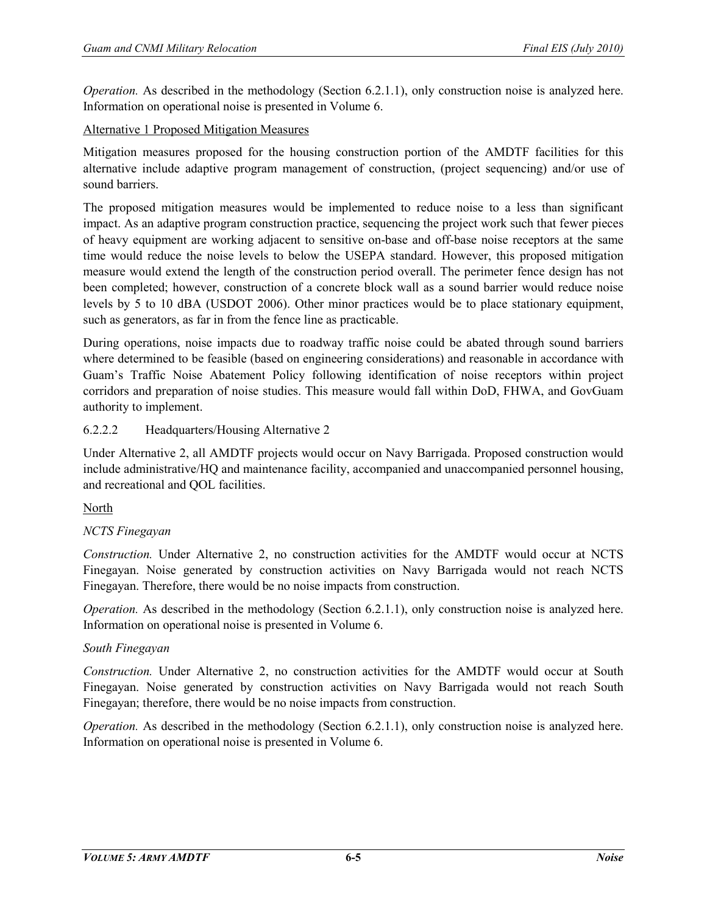*Operation.* As described in the methodology (Section 6.2.1.1), only construction noise is analyzed here. Information on operational noise is presented in Volume 6.

## Alternative 1 Proposed Mitigation Measures

Mitigation measures proposed for the housing construction portion of the AMDTF facilities for this alternative include adaptive program management of construction, (project sequencing) and/or use of sound barriers.

The proposed mitigation measures would be implemented to reduce noise to a less than significant impact. As an adaptive program construction practice, sequencing the project work such that fewer pieces of heavy equipment are working adjacent to sensitive on-base and off-base noise receptors at the same time would reduce the noise levels to below the USEPA standard. However, this proposed mitigation measure would extend the length of the construction period overall. The perimeter fence design has not been completed; however, construction of a concrete block wall as a sound barrier would reduce noise levels by 5 to 10 dBA (USDOT 2006). Other minor practices would be to place stationary equipment, such as generators, as far in from the fence line as practicable.

During operations, noise impacts due to roadway traffic noise could be abated through sound barriers where determined to be feasible (based on engineering considerations) and reasonable in accordance with Guam's Traffic Noise Abatement Policy following identification of noise receptors within project corridors and preparation of noise studies. This measure would fall within DoD, FHWA, and GovGuam authority to implement.

## 6.2.2.2 Headquarters/Housing Alternative 2

Under Alternative 2, all AMDTF projects would occur on Navy Barrigada. Proposed construction would include administrative/HQ and maintenance facility, accompanied and unaccompanied personnel housing, and recreational and QOL facilities.

North

## *NCTS Finegayan*

*Construction.* Under Alternative 2, no construction activities for the AMDTF would occur at NCTS Finegayan. Noise generated by construction activities on Navy Barrigada would not reach NCTS Finegayan. Therefore, there would be no noise impacts from construction.

*Operation.* As described in the methodology (Section 6.2.1.1), only construction noise is analyzed here. Information on operational noise is presented in Volume 6.

#### *South Finegayan*

*Construction.* Under Alternative 2, no construction activities for the AMDTF would occur at South Finegayan. Noise generated by construction activities on Navy Barrigada would not reach South Finegayan; therefore, there would be no noise impacts from construction.

*Operation.* As described in the methodology (Section 6.2.1.1), only construction noise is analyzed here. Information on operational noise is presented in Volume 6.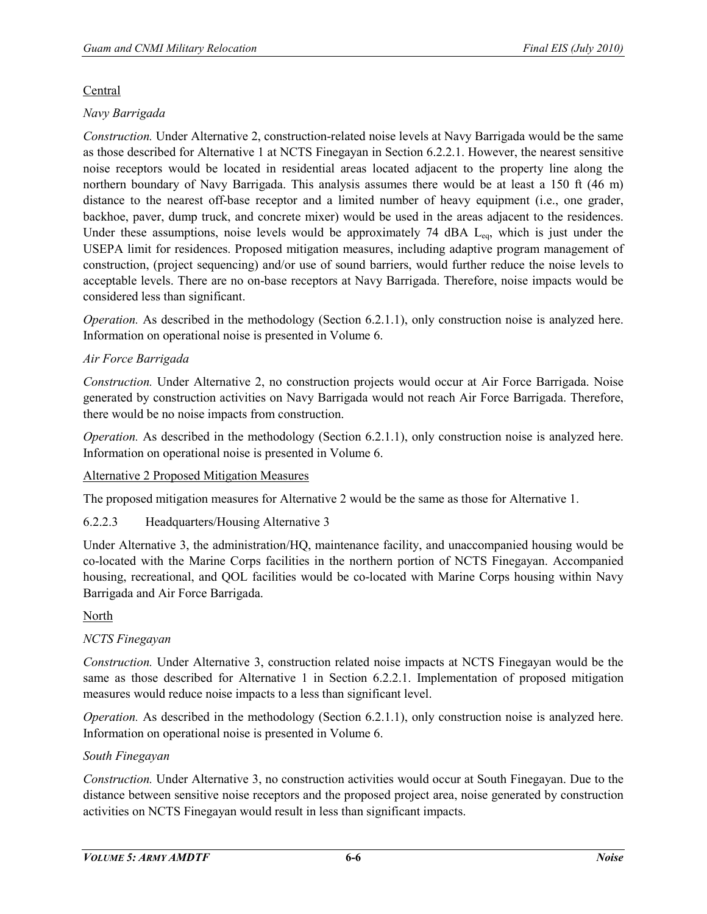## **Central**

## *Navy Barrigada*

*Construction.* Under Alternative 2, construction-related noise levels at Navy Barrigada would be the same as those described for Alternative 1 at NCTS Finegayan in Section 6.2.2.1. However, the nearest sensitive noise receptors would be located in residential areas located adjacent to the property line along the northern boundary of Navy Barrigada. This analysis assumes there would be at least a 150 ft (46 m) distance to the nearest off-base receptor and a limited number of heavy equipment (i.e., one grader, backhoe, paver, dump truck, and concrete mixer) would be used in the areas adjacent to the residences. Under these assumptions, noise levels would be approximately  $74$  dBA  $L_{eq}$ , which is just under the USEPA limit for residences. Proposed mitigation measures, including adaptive program management of construction, (project sequencing) and/or use of sound barriers, would further reduce the noise levels to acceptable levels. There are no on-base receptors at Navy Barrigada. Therefore, noise impacts would be considered less than significant.

*Operation.* As described in the methodology (Section 6.2.1.1), only construction noise is analyzed here. Information on operational noise is presented in Volume 6.

## *Air Force Barrigada*

*Construction.* Under Alternative 2, no construction projects would occur at Air Force Barrigada. Noise generated by construction activities on Navy Barrigada would not reach Air Force Barrigada. Therefore, there would be no noise impacts from construction.

*Operation.* As described in the methodology (Section 6.2.1.1), only construction noise is analyzed here. Information on operational noise is presented in Volume 6.

#### Alternative 2 Proposed Mitigation Measures

The proposed mitigation measures for Alternative 2 would be the same as those for Alternative 1.

#### 6.2.2.3 Headquarters/Housing Alternative 3

Under Alternative 3, the administration/HQ, maintenance facility, and unaccompanied housing would be co-located with the Marine Corps facilities in the northern portion of NCTS Finegayan. Accompanied housing, recreational, and QOL facilities would be co-located with Marine Corps housing within Navy Barrigada and Air Force Barrigada.

#### North

#### *NCTS Finegayan*

*Construction.* Under Alternative 3, construction related noise impacts at NCTS Finegayan would be the same as those described for Alternative 1 in Section 6.2.2.1. Implementation of proposed mitigation measures would reduce noise impacts to a less than significant level.

*Operation.* As described in the methodology (Section 6.2.1.1), only construction noise is analyzed here. Information on operational noise is presented in Volume 6.

#### *South Finegayan*

*Construction.* Under Alternative 3, no construction activities would occur at South Finegayan. Due to the distance between sensitive noise receptors and the proposed project area, noise generated by construction activities on NCTS Finegayan would result in less than significant impacts.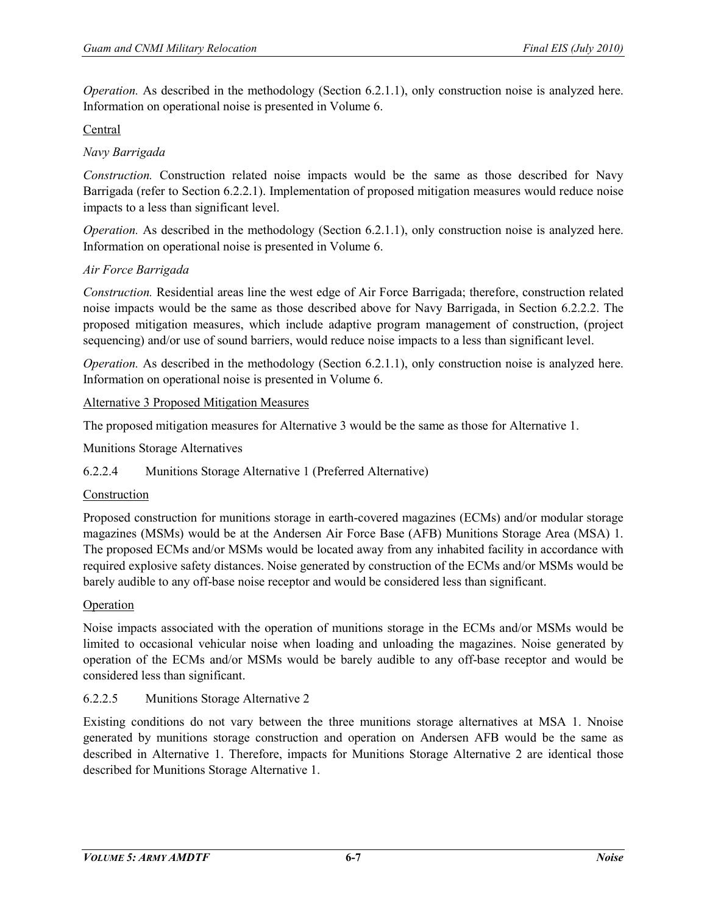*Operation.* As described in the methodology (Section 6.2.1.1), only construction noise is analyzed here. Information on operational noise is presented in Volume 6.

## Central

## *Navy Barrigada*

*Construction.* Construction related noise impacts would be the same as those described for Navy Barrigada (refer to Section 6.2.2.1). Implementation of proposed mitigation measures would reduce noise impacts to a less than significant level.

*Operation.* As described in the methodology (Section 6.2.1.1), only construction noise is analyzed here. Information on operational noise is presented in Volume 6.

## *Air Force Barrigada*

*Construction.* Residential areas line the west edge of Air Force Barrigada; therefore, construction related noise impacts would be the same as those described above for Navy Barrigada, in Section 6.2.2.2. The proposed mitigation measures, which include adaptive program management of construction, (project sequencing) and/or use of sound barriers, would reduce noise impacts to a less than significant level.

*Operation.* As described in the methodology (Section 6.2.1.1), only construction noise is analyzed here. Information on operational noise is presented in Volume 6.

## Alternative 3 Proposed Mitigation Measures

The proposed mitigation measures for Alternative 3 would be the same as those for Alternative 1.

Munitions Storage Alternatives

#### 6.2.2.4 Munitions Storage Alternative 1 (Preferred Alternative)

#### Construction

Proposed construction for munitions storage in earth-covered magazines (ECMs) and/or modular storage magazines (MSMs) would be at the Andersen Air Force Base (AFB) Munitions Storage Area (MSA) 1. The proposed ECMs and/or MSMs would be located away from any inhabited facility in accordance with required explosive safety distances. Noise generated by construction of the ECMs and/or MSMs would be barely audible to any off-base noise receptor and would be considered less than significant.

#### Operation

Noise impacts associated with the operation of munitions storage in the ECMs and/or MSMs would be limited to occasional vehicular noise when loading and unloading the magazines. Noise generated by operation of the ECMs and/or MSMs would be barely audible to any off-base receptor and would be considered less than significant.

#### 6.2.2.5 Munitions Storage Alternative 2

Existing conditions do not vary between the three munitions storage alternatives at MSA 1. Nnoise generated by munitions storage construction and operation on Andersen AFB would be the same as described in Alternative 1. Therefore, impacts for Munitions Storage Alternative 2 are identical those described for Munitions Storage Alternative 1.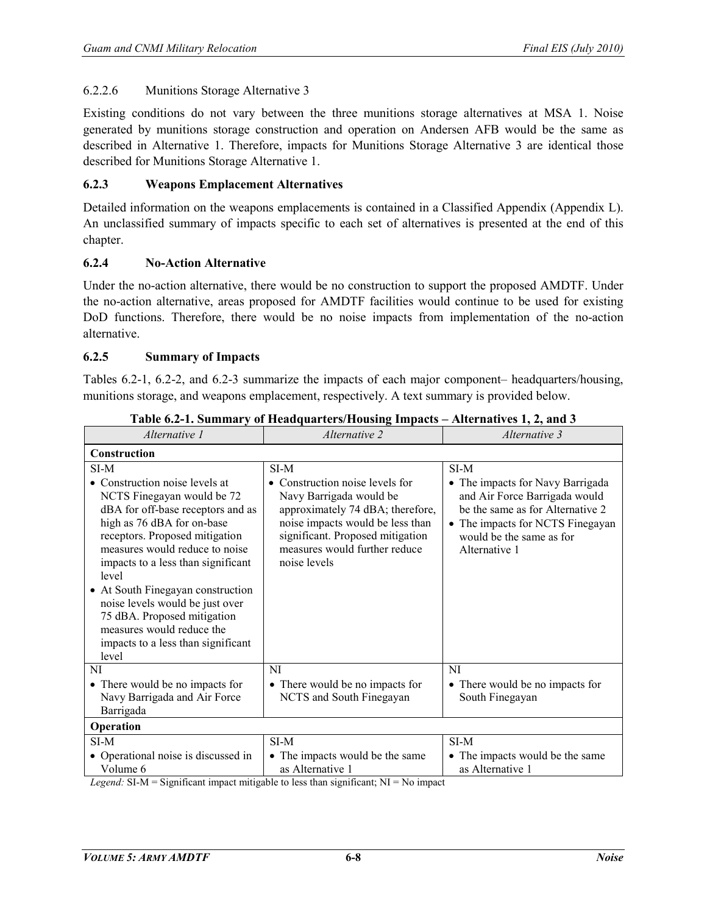#### 6.2.2.6 Munitions Storage Alternative 3

Existing conditions do not vary between the three munitions storage alternatives at MSA 1. Noise generated by munitions storage construction and operation on Andersen AFB would be the same as described in Alternative 1. Therefore, impacts for Munitions Storage Alternative 3 are identical those described for Munitions Storage Alternative 1.

#### **6.2.3 Weapons Emplacement Alternatives**

Detailed information on the weapons emplacements is contained in a Classified Appendix (Appendix L). An unclassified summary of impacts specific to each set of alternatives is presented at the end of this chapter.

#### **6.2.4 No-Action Alternative**

Under the no-action alternative, there would be no construction to support the proposed AMDTF. Under the no-action alternative, areas proposed for AMDTF facilities would continue to be used for existing DoD functions. Therefore, there would be no noise impacts from implementation of the no-action alternative.

#### **6.2.5 Summary of Impacts**

 $\blacksquare$ 

Tables 6.2-1, 6.2-2, and 6.2-3 summarize the impacts of each major component– headquarters/housing, munitions storage, and weapons emplacement, respectively. A text summary is provided below.

| Alternative 1                                                                                                                                                                                                                                                                                                                                                                                                                                 | Alternative 2                                                                                                                                                                                                                   | Alternative 3                                                                                                                                                                                  |  |  |  |
|-----------------------------------------------------------------------------------------------------------------------------------------------------------------------------------------------------------------------------------------------------------------------------------------------------------------------------------------------------------------------------------------------------------------------------------------------|---------------------------------------------------------------------------------------------------------------------------------------------------------------------------------------------------------------------------------|------------------------------------------------------------------------------------------------------------------------------------------------------------------------------------------------|--|--|--|
| Construction                                                                                                                                                                                                                                                                                                                                                                                                                                  |                                                                                                                                                                                                                                 |                                                                                                                                                                                                |  |  |  |
| SI-M<br>• Construction noise levels at<br>NCTS Finegayan would be 72<br>dBA for off-base receptors and as<br>high as 76 dBA for on-base<br>receptors. Proposed mitigation<br>measures would reduce to noise<br>impacts to a less than significant<br>level<br>• At South Finegayan construction<br>noise levels would be just over<br>75 dBA. Proposed mitigation<br>measures would reduce the<br>impacts to a less than significant<br>level | SI-M<br>• Construction noise levels for<br>Navy Barrigada would be<br>approximately 74 dBA; therefore,<br>noise impacts would be less than<br>significant. Proposed mitigation<br>measures would further reduce<br>noise levels | SI-M<br>• The impacts for Navy Barrigada<br>and Air Force Barrigada would<br>be the same as for Alternative 2<br>• The impacts for NCTS Finegayan<br>would be the same as for<br>Alternative 1 |  |  |  |
| NI<br>• There would be no impacts for<br>Navy Barrigada and Air Force<br>Barrigada                                                                                                                                                                                                                                                                                                                                                            | NI<br>• There would be no impacts for<br>NCTS and South Finegayan                                                                                                                                                               | <b>NI</b><br>• There would be no impacts for<br>South Finegayan                                                                                                                                |  |  |  |
| Operation                                                                                                                                                                                                                                                                                                                                                                                                                                     |                                                                                                                                                                                                                                 |                                                                                                                                                                                                |  |  |  |
| $SI-M$                                                                                                                                                                                                                                                                                                                                                                                                                                        | $SI-M$                                                                                                                                                                                                                          | SI-M                                                                                                                                                                                           |  |  |  |
| • Operational noise is discussed in<br>Volume 6<br>$\mathbf{r}$ and $\mathbf{r}$ are $\mathbf{r}$<br>$\cdots$                                                                                                                                                                                                                                                                                                                                 | • The impacts would be the same<br>as Alternative 1<br>$-2$ $-2$<br>$\sim$ $\sim$<br>$\sim$ $\sim$ $\sim$                                                                                                                       | • The impacts would be the same<br>as Alternative 1                                                                                                                                            |  |  |  |

**Table 6.2-1. Summary of Headquarters/Housing Impacts – Alternatives 1, 2, and 3** 

*Legend:*  $SI-M =$  Significant impact mitigable to less than significant;  $NI = No$  impact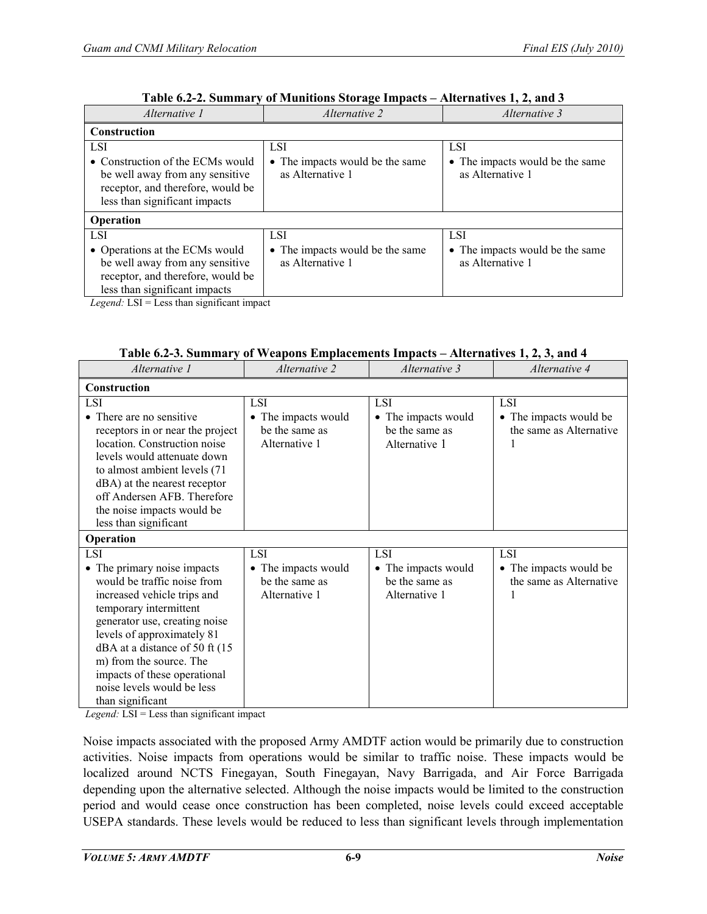| Alternative 1                                                                                                                                                                                                                                                                                                                                                                                                                                          | <i>Alternative 2</i>                                              | Alternative 3                                                     |
|--------------------------------------------------------------------------------------------------------------------------------------------------------------------------------------------------------------------------------------------------------------------------------------------------------------------------------------------------------------------------------------------------------------------------------------------------------|-------------------------------------------------------------------|-------------------------------------------------------------------|
| <b>Construction</b>                                                                                                                                                                                                                                                                                                                                                                                                                                    |                                                                   |                                                                   |
| <b>LSI</b><br>• Construction of the ECMs would<br>be well away from any sensitive<br>receptor, and therefore, would be                                                                                                                                                                                                                                                                                                                                 | <b>LSI</b><br>• The impacts would be the same<br>as Alternative 1 | <b>LSI</b><br>• The impacts would be the same<br>as Alternative 1 |
| less than significant impacts<br>Operation                                                                                                                                                                                                                                                                                                                                                                                                             |                                                                   |                                                                   |
| LSI.                                                                                                                                                                                                                                                                                                                                                                                                                                                   | LSI.                                                              | LSI.                                                              |
| • Operations at the ECMs would<br>be well away from any sensitive<br>receptor, and therefore, would be<br>less than significant impacts<br>$\mathbf{v}$ , $\mathbf{v}$ , $\mathbf{v}$ , $\mathbf{v}$ , $\mathbf{v}$ , $\mathbf{v}$ , $\mathbf{v}$ , $\mathbf{v}$ , $\mathbf{v}$ , $\mathbf{v}$ , $\mathbf{v}$ , $\mathbf{v}$ , $\mathbf{v}$ , $\mathbf{v}$ , $\mathbf{v}$ , $\mathbf{v}$ , $\mathbf{v}$ , $\mathbf{v}$ , $\mathbf{v}$ , $\mathbf{v}$ , | • The impacts would be the same<br>as Alternative 1               | • The impacts would be the same<br>as Alternative 1               |

| Table 6.2-2. Summary of Munitions Storage Impacts - Alternatives 1, 2, and 3 |
|------------------------------------------------------------------------------|
|------------------------------------------------------------------------------|

*Legend:* LSI = Less than significant impact

| Table 6.2-3. Summary of Weapons Emplacements Impacts – Alternatives 1, 2, 3, and 4                                                                                                                                                                                                                                                               |                                                                                 |                                                                      |                                                                      |  |  |
|--------------------------------------------------------------------------------------------------------------------------------------------------------------------------------------------------------------------------------------------------------------------------------------------------------------------------------------------------|---------------------------------------------------------------------------------|----------------------------------------------------------------------|----------------------------------------------------------------------|--|--|
| Alternative 1                                                                                                                                                                                                                                                                                                                                    | Alternative 2                                                                   | Alternative 3                                                        | Alternative 4                                                        |  |  |
| Construction                                                                                                                                                                                                                                                                                                                                     |                                                                                 |                                                                      |                                                                      |  |  |
| <b>LSI</b><br>• There are no sensitive<br>receptors in or near the project<br>location. Construction noise<br>levels would attenuate down<br>to almost ambient levels (71)<br>dBA) at the nearest receptor<br>off Andersen AFB. Therefore<br>the noise impacts would be<br>less than significant                                                 | <b>LSI</b><br>• The impacts would<br>be the same as<br>Alternative 1            | <b>LSI</b><br>• The impacts would<br>be the same as<br>Alternative 1 | LSI.<br>• The impacts would be<br>the same as Alternative<br>1       |  |  |
| Operation                                                                                                                                                                                                                                                                                                                                        |                                                                                 |                                                                      |                                                                      |  |  |
| <b>LSI</b><br>• The primary noise impacts<br>would be traffic noise from<br>increased vehicle trips and<br>temporary intermittent<br>generator use, creating noise<br>levels of approximately 81<br>dBA at a distance of 50 ft (15)<br>m) from the source. The<br>impacts of these operational<br>noise levels would be less<br>than significant | <b>LSI</b><br>The impacts would<br>$\bullet$<br>be the same as<br>Alternative 1 | <b>LSI</b><br>• The impacts would<br>be the same as<br>Alternative 1 | <b>LSI</b><br>• The impacts would be<br>the same as Alternative<br>1 |  |  |

*Legend:* LSI = Less than significant impact

Noise impacts associated with the proposed Army AMDTF action would be primarily due to construction activities. Noise impacts from operations would be similar to traffic noise. These impacts would be localized around NCTS Finegayan, South Finegayan, Navy Barrigada, and Air Force Barrigada depending upon the alternative selected. Although the noise impacts would be limited to the construction period and would cease once construction has been completed, noise levels could exceed acceptable USEPA standards. These levels would be reduced to less than significant levels through implementation